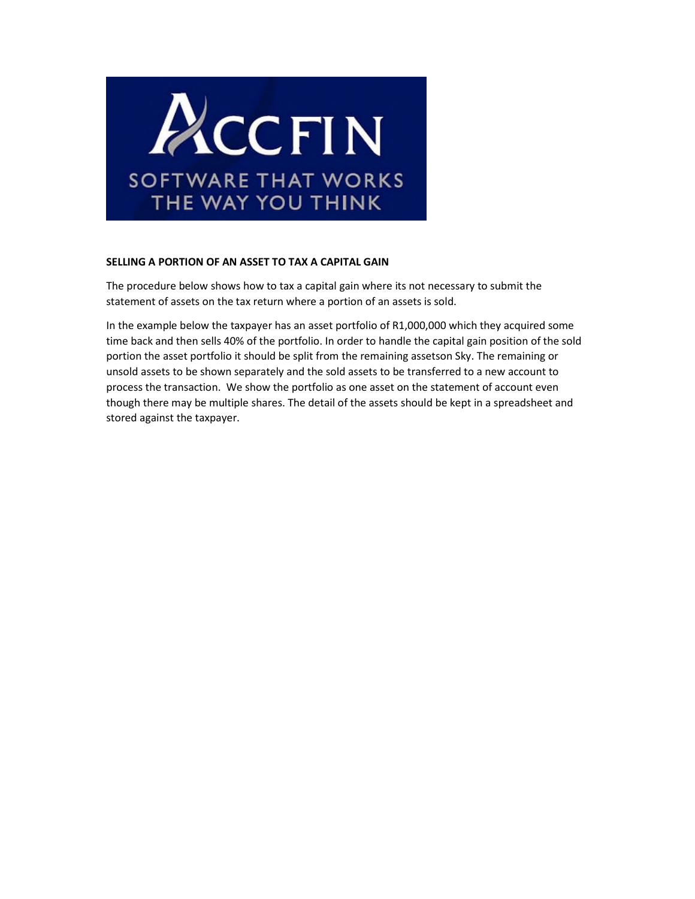

## **SELLING A PORTION OF AN ASSET TO TAX A CAPITAL GAIN**

The procedure below shows how to tax a capital gain where its not necessary to submit the statement of assets on the tax return where a portion of an assets is sold.

In the example below the taxpayer has an asset portfolio of R1,000,000 which they acquired some time back and then sells 40% of the portfolio. In order to handle the capital gain position of the sold portion the asset portfolio it should be split from the remaining assetson Sky. The remaining or unsold assets to be shown separately and the sold assets to be transferred to a new account to process the transaction. We show the portfolio as one asset on the statement of account even though there may be multiple shares. The detail of the assets should be kept in a spreadsheet and stored against the taxpayer.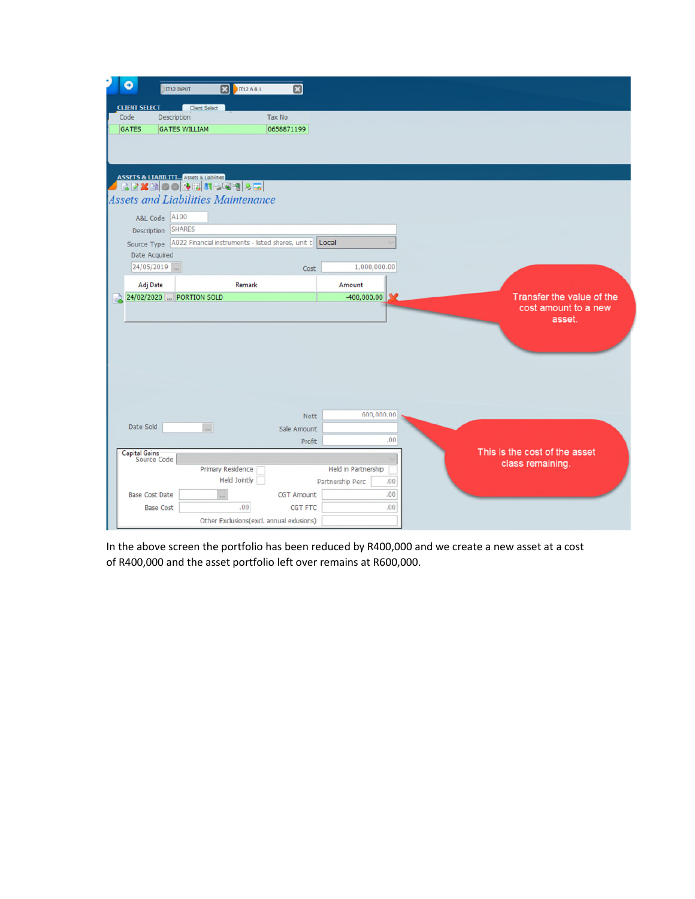| $\mathbf{z}$<br>図<br><b>IT12 A &amp; L</b> |                                                                                                                                                                                                                                                                                                                                 |                                                   |
|--------------------------------------------|---------------------------------------------------------------------------------------------------------------------------------------------------------------------------------------------------------------------------------------------------------------------------------------------------------------------------------|---------------------------------------------------|
|                                            |                                                                                                                                                                                                                                                                                                                                 |                                                   |
| <b>Tax No</b>                              |                                                                                                                                                                                                                                                                                                                                 |                                                   |
| 0658871199                                 |                                                                                                                                                                                                                                                                                                                                 |                                                   |
|                                            | Local                                                                                                                                                                                                                                                                                                                           |                                                   |
|                                            |                                                                                                                                                                                                                                                                                                                                 |                                                   |
|                                            | 1,000,000.00                                                                                                                                                                                                                                                                                                                    |                                                   |
| Remark                                     | Amount                                                                                                                                                                                                                                                                                                                          |                                                   |
|                                            | $-400,000.00$                                                                                                                                                                                                                                                                                                                   | Transfer the value of the                         |
|                                            |                                                                                                                                                                                                                                                                                                                                 | cost amount to a new<br>asset.                    |
|                                            | 600,000.00                                                                                                                                                                                                                                                                                                                      |                                                   |
| $\ddot{\phantom{1}}$                       |                                                                                                                                                                                                                                                                                                                                 |                                                   |
|                                            | .00.                                                                                                                                                                                                                                                                                                                            |                                                   |
| Primary Residence<br><b>Held Jointly</b>   | Held in Partnership<br>Partnership Perc<br>.00.<br>.00.<br><b>CGT Amount</b>                                                                                                                                                                                                                                                    | This is the cost of the asset<br>class remaining. |
|                                            | IT12 INPUT<br><b>Client Select</b><br><b>Description</b><br><b>GATES WILLIAM</b><br>ASSETS & LIABILITI Assets & Uabilities<br> 日日第一日  ○○ <mark>本田  野っぽ物  多国</mark><br><b>Assets and Liabilities Maintenance</b><br><b>SHARES</b><br>Source Type   A022 Financial instruments - listed shares, unit t<br>24/02/2020 PORTION SOLD | Cost<br><b>Nett</b><br>Sale Amount<br>Profit      |

In the above screen the portfolio has been reduced by R400,000 and we create a new asset at a cost of R400,000 and the asset portfolio left over remains at R600,000.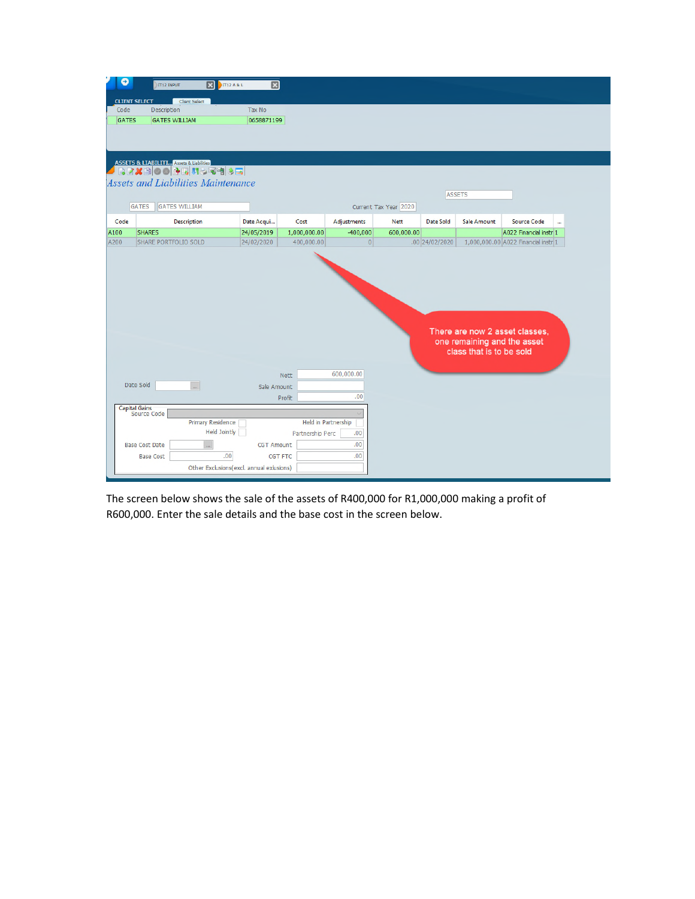| э            | <b>IT12 INPUT</b>                                                                                                                   | B                                               | <b>IT12 A &amp; L</b>                            | 図                     |                             |                       |                  |                                                         |                                     |                      |
|--------------|-------------------------------------------------------------------------------------------------------------------------------------|-------------------------------------------------|--------------------------------------------------|-----------------------|-----------------------------|-----------------------|------------------|---------------------------------------------------------|-------------------------------------|----------------------|
|              | <b>CLIENT SELECT</b>                                                                                                                | <b>Client Select</b>                            |                                                  |                       |                             |                       |                  |                                                         |                                     |                      |
| Code         | Description                                                                                                                         |                                                 | Tax No                                           |                       |                             |                       |                  |                                                         |                                     |                      |
| <b>GATES</b> | <b>GATES WILLIAM</b>                                                                                                                |                                                 | 0658871199                                       |                       |                             |                       |                  |                                                         |                                     |                      |
|              |                                                                                                                                     |                                                 |                                                  |                       |                             |                       |                  |                                                         |                                     |                      |
|              | <mark>ASSETS &amp; LTABILITI…</mark> Assets & Liabilities<br>● ○ ○ <mark>◆ ○ ○ ○ ○ ○</mark> ○ □ <mark>○ ○</mark> ○ ○ <mark>○</mark> |                                                 |                                                  |                       |                             |                       |                  |                                                         |                                     |                      |
|              | <b>Assets and Liabilities Maintenance</b>                                                                                           |                                                 |                                                  |                       |                             |                       |                  | <b>ASSETS</b>                                           |                                     |                      |
|              | GATES                                                                                                                               | <b>GATES WILLIAM</b>                            |                                                  |                       |                             | Current Tax Year 2020 |                  |                                                         |                                     |                      |
| Code         |                                                                                                                                     | <b>Description</b>                              | Date Acqui                                       | Cost                  | Adjustments                 | <b>Nett</b>           | <b>Date Sold</b> | <b>Sale Amount</b>                                      | <b>Source Code</b>                  | $\ddot{\phantom{a}}$ |
| A100         | <b>SHARES</b>                                                                                                                       |                                                 | 24/05/2019                                       | 1,000,000.00          | -400,000                    | 600,000.00            |                  |                                                         | A022 Financial instr 1              |                      |
| A200         | SHARE PORTFOLIO SOLD                                                                                                                |                                                 | 24/02/2020                                       | 400,000.00            | 0                           |                       | .00 24/02/2020   |                                                         | 1,000,000.00 A022 Financial instr 1 |                      |
|              |                                                                                                                                     |                                                 |                                                  | Nett                  | 600,000.00                  |                       |                  | one remaining and the asset<br>class that is to be sold | There are now 2 asset classes.      |                      |
|              | Date Sold                                                                                                                           | $\bar{m}$                                       |                                                  |                       |                             |                       |                  |                                                         |                                     |                      |
|              |                                                                                                                                     |                                                 |                                                  | Sale Amount<br>Profit | .00                         |                       |                  |                                                         |                                     |                      |
|              | Capital Gains<br>Source Code                                                                                                        |                                                 |                                                  |                       |                             |                       |                  |                                                         |                                     |                      |
|              |                                                                                                                                     | <b>Primary Residence</b><br><b>Held Jointly</b> |                                                  | Partnership Perc      | Held in Partnership<br>.00. |                       |                  |                                                         |                                     |                      |
|              | <b>Base Cost Date</b>                                                                                                               | i.i                                             | <b>CGT Amount</b>                                |                       | .00.                        |                       |                  |                                                         |                                     |                      |
|              | <b>Base Cost</b>                                                                                                                    |                                                 | .00.<br>Other Exclusions(excl. annual exlusions) | CGT FTC               | .00                         |                       |                  |                                                         |                                     |                      |
|              |                                                                                                                                     |                                                 |                                                  |                       |                             |                       |                  |                                                         |                                     |                      |

The screen below shows the sale of the assets of R400,000 for R1,000,000 making a profit of R600,000. Enter the sale details and the base cost in the screen below.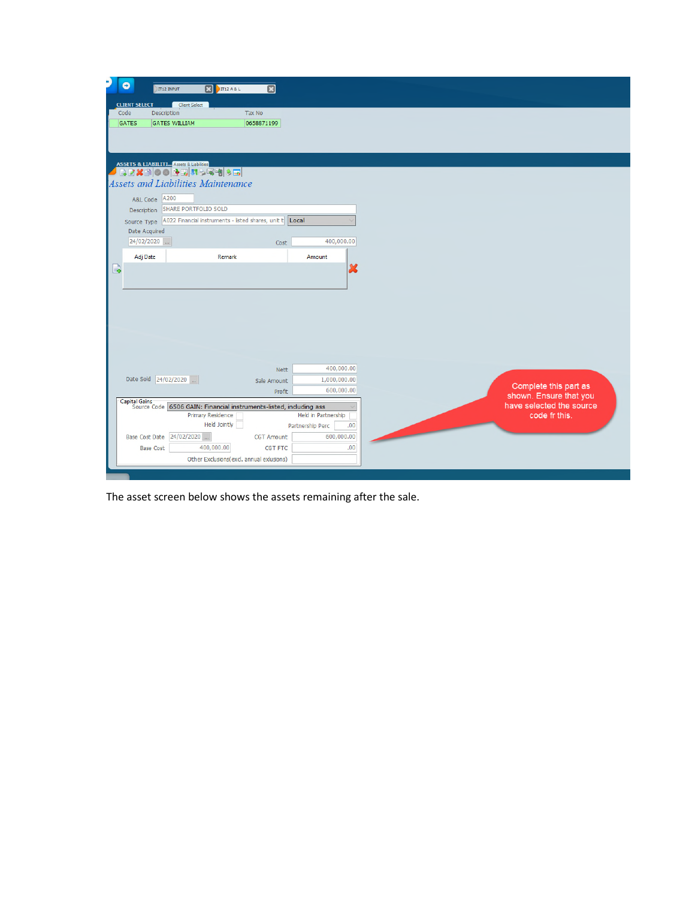| <b>CLIENT SELECT</b><br>Client Select<br>Tax No<br>Code<br>Description<br><b>GATES WILLIAM</b><br>0658871199<br>GATES<br><b>ASSETS &amp; LIABILITI</b> Assets & Liabilities<br>BEXBOORENS图例→B<br><b>Assets and Liabilities Maintenance</b><br>A&L Code A200<br>Description SHARE PORTFOLIO SOLD<br>Source Type A022 Financial instruments - listed shares, unit t Local<br>Date Acquired<br>24/02/2020<br>400,000.00<br>Cost<br>Adj Date<br>Remark<br>Amount<br>$\Box$<br>x<br>400,000.00<br><b>Nett</b><br>Date Sold 24/02/2020<br>1,000,000.00<br>Sale Amount<br>Complete this part as<br>600,000.00<br>Profit<br>shown. Ensure that you<br>Capital Gains<br>Source Code 6506 GAIN: Financial instruments-listed, including ass<br>have selected the source<br>Held in Partnership<br>code fr this.<br>Primary Residence<br><b>Held Jointly</b><br>.00 <sub>1</sub><br>Partnership Perc<br>Base Cost Date 24/02/2020<br>600,000.00<br><b>CGT Amount</b><br>400,000.00<br>.00.<br><b>CGT FTC</b><br><b>Base Cost</b><br>Other Exclusions(excl. annual exlusions) | $\bullet$ |                                                    |   |  |  |
|-------------------------------------------------------------------------------------------------------------------------------------------------------------------------------------------------------------------------------------------------------------------------------------------------------------------------------------------------------------------------------------------------------------------------------------------------------------------------------------------------------------------------------------------------------------------------------------------------------------------------------------------------------------------------------------------------------------------------------------------------------------------------------------------------------------------------------------------------------------------------------------------------------------------------------------------------------------------------------------------------------------------------------------------------------------------|-----------|----------------------------------------------------|---|--|--|
|                                                                                                                                                                                                                                                                                                                                                                                                                                                                                                                                                                                                                                                                                                                                                                                                                                                                                                                                                                                                                                                                   |           | $\mathbf{E}$<br><b>THEARL</b><br><b>IT12 INPUT</b> | 図 |  |  |
|                                                                                                                                                                                                                                                                                                                                                                                                                                                                                                                                                                                                                                                                                                                                                                                                                                                                                                                                                                                                                                                                   |           |                                                    |   |  |  |
|                                                                                                                                                                                                                                                                                                                                                                                                                                                                                                                                                                                                                                                                                                                                                                                                                                                                                                                                                                                                                                                                   |           |                                                    |   |  |  |
|                                                                                                                                                                                                                                                                                                                                                                                                                                                                                                                                                                                                                                                                                                                                                                                                                                                                                                                                                                                                                                                                   |           |                                                    |   |  |  |
|                                                                                                                                                                                                                                                                                                                                                                                                                                                                                                                                                                                                                                                                                                                                                                                                                                                                                                                                                                                                                                                                   |           |                                                    |   |  |  |
|                                                                                                                                                                                                                                                                                                                                                                                                                                                                                                                                                                                                                                                                                                                                                                                                                                                                                                                                                                                                                                                                   |           |                                                    |   |  |  |
|                                                                                                                                                                                                                                                                                                                                                                                                                                                                                                                                                                                                                                                                                                                                                                                                                                                                                                                                                                                                                                                                   |           |                                                    |   |  |  |
|                                                                                                                                                                                                                                                                                                                                                                                                                                                                                                                                                                                                                                                                                                                                                                                                                                                                                                                                                                                                                                                                   |           |                                                    |   |  |  |
|                                                                                                                                                                                                                                                                                                                                                                                                                                                                                                                                                                                                                                                                                                                                                                                                                                                                                                                                                                                                                                                                   |           |                                                    |   |  |  |
|                                                                                                                                                                                                                                                                                                                                                                                                                                                                                                                                                                                                                                                                                                                                                                                                                                                                                                                                                                                                                                                                   |           |                                                    |   |  |  |
|                                                                                                                                                                                                                                                                                                                                                                                                                                                                                                                                                                                                                                                                                                                                                                                                                                                                                                                                                                                                                                                                   |           |                                                    |   |  |  |
|                                                                                                                                                                                                                                                                                                                                                                                                                                                                                                                                                                                                                                                                                                                                                                                                                                                                                                                                                                                                                                                                   |           |                                                    |   |  |  |
|                                                                                                                                                                                                                                                                                                                                                                                                                                                                                                                                                                                                                                                                                                                                                                                                                                                                                                                                                                                                                                                                   |           |                                                    |   |  |  |
|                                                                                                                                                                                                                                                                                                                                                                                                                                                                                                                                                                                                                                                                                                                                                                                                                                                                                                                                                                                                                                                                   |           |                                                    |   |  |  |
|                                                                                                                                                                                                                                                                                                                                                                                                                                                                                                                                                                                                                                                                                                                                                                                                                                                                                                                                                                                                                                                                   |           |                                                    |   |  |  |
|                                                                                                                                                                                                                                                                                                                                                                                                                                                                                                                                                                                                                                                                                                                                                                                                                                                                                                                                                                                                                                                                   |           |                                                    |   |  |  |
|                                                                                                                                                                                                                                                                                                                                                                                                                                                                                                                                                                                                                                                                                                                                                                                                                                                                                                                                                                                                                                                                   |           |                                                    |   |  |  |
|                                                                                                                                                                                                                                                                                                                                                                                                                                                                                                                                                                                                                                                                                                                                                                                                                                                                                                                                                                                                                                                                   |           |                                                    |   |  |  |
|                                                                                                                                                                                                                                                                                                                                                                                                                                                                                                                                                                                                                                                                                                                                                                                                                                                                                                                                                                                                                                                                   |           |                                                    |   |  |  |
|                                                                                                                                                                                                                                                                                                                                                                                                                                                                                                                                                                                                                                                                                                                                                                                                                                                                                                                                                                                                                                                                   |           |                                                    |   |  |  |
|                                                                                                                                                                                                                                                                                                                                                                                                                                                                                                                                                                                                                                                                                                                                                                                                                                                                                                                                                                                                                                                                   |           |                                                    |   |  |  |
|                                                                                                                                                                                                                                                                                                                                                                                                                                                                                                                                                                                                                                                                                                                                                                                                                                                                                                                                                                                                                                                                   |           |                                                    |   |  |  |
|                                                                                                                                                                                                                                                                                                                                                                                                                                                                                                                                                                                                                                                                                                                                                                                                                                                                                                                                                                                                                                                                   |           |                                                    |   |  |  |
|                                                                                                                                                                                                                                                                                                                                                                                                                                                                                                                                                                                                                                                                                                                                                                                                                                                                                                                                                                                                                                                                   |           |                                                    |   |  |  |
|                                                                                                                                                                                                                                                                                                                                                                                                                                                                                                                                                                                                                                                                                                                                                                                                                                                                                                                                                                                                                                                                   |           |                                                    |   |  |  |
|                                                                                                                                                                                                                                                                                                                                                                                                                                                                                                                                                                                                                                                                                                                                                                                                                                                                                                                                                                                                                                                                   |           |                                                    |   |  |  |
|                                                                                                                                                                                                                                                                                                                                                                                                                                                                                                                                                                                                                                                                                                                                                                                                                                                                                                                                                                                                                                                                   |           |                                                    |   |  |  |
|                                                                                                                                                                                                                                                                                                                                                                                                                                                                                                                                                                                                                                                                                                                                                                                                                                                                                                                                                                                                                                                                   |           |                                                    |   |  |  |
|                                                                                                                                                                                                                                                                                                                                                                                                                                                                                                                                                                                                                                                                                                                                                                                                                                                                                                                                                                                                                                                                   |           |                                                    |   |  |  |
|                                                                                                                                                                                                                                                                                                                                                                                                                                                                                                                                                                                                                                                                                                                                                                                                                                                                                                                                                                                                                                                                   |           |                                                    |   |  |  |
|                                                                                                                                                                                                                                                                                                                                                                                                                                                                                                                                                                                                                                                                                                                                                                                                                                                                                                                                                                                                                                                                   |           |                                                    |   |  |  |
|                                                                                                                                                                                                                                                                                                                                                                                                                                                                                                                                                                                                                                                                                                                                                                                                                                                                                                                                                                                                                                                                   |           |                                                    |   |  |  |
|                                                                                                                                                                                                                                                                                                                                                                                                                                                                                                                                                                                                                                                                                                                                                                                                                                                                                                                                                                                                                                                                   |           |                                                    |   |  |  |
|                                                                                                                                                                                                                                                                                                                                                                                                                                                                                                                                                                                                                                                                                                                                                                                                                                                                                                                                                                                                                                                                   |           |                                                    |   |  |  |
|                                                                                                                                                                                                                                                                                                                                                                                                                                                                                                                                                                                                                                                                                                                                                                                                                                                                                                                                                                                                                                                                   |           |                                                    |   |  |  |

The asset screen below shows the assets remaining after the sale.